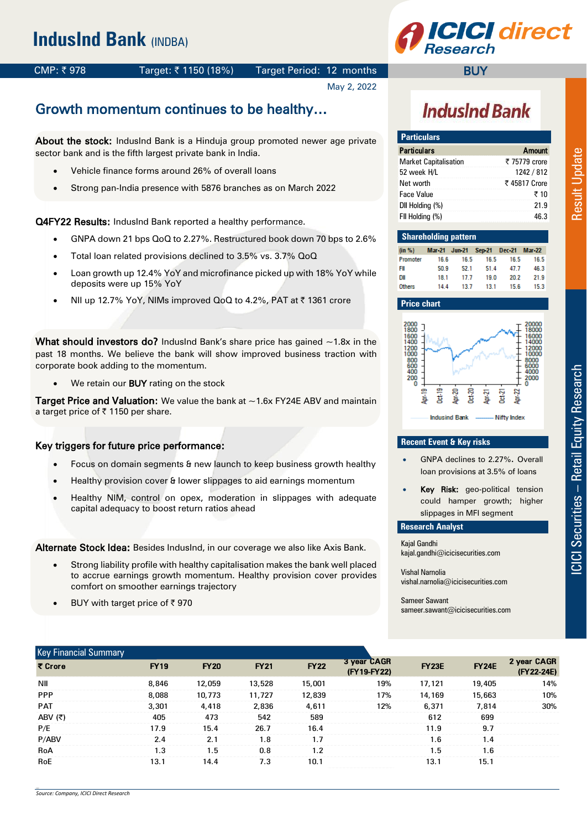**CI** direct

#### CMP: ₹978 Target: ₹1150 (18%) Target Period: 12 months

May 2, 2022

## Growth momentum continues to be healthy…

About the stock: IndusInd Bank is a Hinduja group promoted newer age private sector bank and is the fifth largest private bank in India.

- Vehicle finance forms around 26% of overall loans
- Strong pan-India presence with 5876 branches as on March 2022

**Q4FY22 Results:** IndusInd Bank reported a healthy performance.

- GNPA down 21 bps QoQ to 2.27%. Restructured book down 70 bps to 2.6%
- Total loan related provisions declined to 3.5% vs. 3.7% QoQ
- Loan growth up 12.4% YoY and microfinance picked up with 18% YoY while deposits were up 15% YoY
- NII up 12.7% YoY, NIMs improved QoQ to 4.2%, PAT at ₹ 1361 crore

What should investors do? IndusInd Bank's share price has gained  $\sim$ 1.8x in the past 18 months. We believe the bank will show improved business traction with corporate book adding to the momentum.

We retain our **BUY** rating on the stock

**Target Price and Valuation:** We value the bank at  $\sim$  1.6x FY24E ABV and maintain a target price of  $\bar{\tau}$  1150 per share.

#### Key triggers for future price performance:

- Focus on domain segments & new launch to keep business growth healthy
- Healthy provision cover & lower slippages to aid earnings momentum
- Healthy NIM, control on opex, moderation in slippages with adequate capital adequacy to boost return ratios ahead

Alternate Stock Idea: Besides IndusInd, in our coverage we also like Axis Bank.

- Strong liability profile with healthy capitalisation makes the bank well placed to accrue earnings growth momentum. Healthy provision cover provides comfort on smoother earnings trajectory
- BUY with target price of  $\bar{z}$  970

# **IndusInd Bank**

**BUY** 

| <b>Particulars</b>    |               |
|-----------------------|---------------|
| Particulars           | Amount        |
| Market Capitalisation | ₹ 75779 crore |
| 52 week H/L           | 1242 / 812    |
| Net worth             | ₹ 45817 Crore |
| Face Value            | ₹ 10          |
| DII Holding (%)       | 21.9          |
| FII Holding (%)       | 46.3          |
|                       |               |

| <b>Shareholding pattern</b> |                                          |      |      |      |      |  |  |  |  |  |  |
|-----------------------------|------------------------------------------|------|------|------|------|--|--|--|--|--|--|
|                             | in %) Mar-21 Jun-21 Sep-21 Dec-21 Mar-22 |      |      |      |      |  |  |  |  |  |  |
| 'romoter                    | 16.6                                     | 16.5 | 16.5 | 16.5 | 16.5 |  |  |  |  |  |  |
| т                           | 50.9                                     | 52.1 | 51.4 | 47.7 | 46.3 |  |  |  |  |  |  |
| ונ                          | 18.1                                     | 17.7 | 19.0 | 20.2 | 21.9 |  |  |  |  |  |  |
| <b>Others</b>               | 14.4                                     | 13.7 | 13.1 | 15.6 | 15.3 |  |  |  |  |  |  |

#### **Price chart**



#### **Recent Event & Key risks**

- GNPA declines to 2.27%. Overall loan provisions at 3.5% of loans
- Key Risk: geo-political tension could hamper growth; higher slippages in MFI segment

#### **Research Analyst**

Kajal Gandhi kajal.gandhi@icicisecurities.com

Vishal Narnolia vishal.narnolia@icicisecurities.com

Sameer Sawant sameer.sawant@icicisecurities.com

| <b>Key Financial Summary</b> |             |             |             |             |                            |              |              |                           |
|------------------------------|-------------|-------------|-------------|-------------|----------------------------|--------------|--------------|---------------------------|
| ₹ Crore                      | <b>FY19</b> | <b>FY20</b> | <b>FY21</b> | <b>FY22</b> | 3 year CAGR<br>(FY19-FY22) | <b>FY23E</b> | <b>FY24E</b> | 2 year CAGR<br>(FY22-24E) |
| ΝIΙ                          | 8.846       | 12.059      | 13,528      | 15,001      | 19%                        | 17.121       | 19,405       | 14%                       |
| PPP                          | 8.088       | 10,773      | 11.727      | 12,839      | 17%                        | 14,169       | 15,663       | 10%                       |
| <b>PAT</b>                   | 3,301       | 4.418       | 2.836       | 4.611       | 12%                        | 6.371        | 7.814        | 30%                       |
| ABV (₹)                      | 405         | 473         | 542         | 589         |                            | 612          | 699          |                           |
| P/E                          | 17.9        | 15.4        | 26.7        | 16.4        |                            | 11.9         | 9.7          |                           |
| P/ABV                        | 2.4         | 2.1         | 1.8         | 17          |                            | 1.6          | 1.4          |                           |
| RoA                          | 1.3         | 1.5         | 0.8         | 12          |                            | 1.5          | 1.6          |                           |
| <b>RoE</b>                   | 13.1        | 14.4        | 7.3         | 10.1        |                            | 13.1         | 15.1         |                           |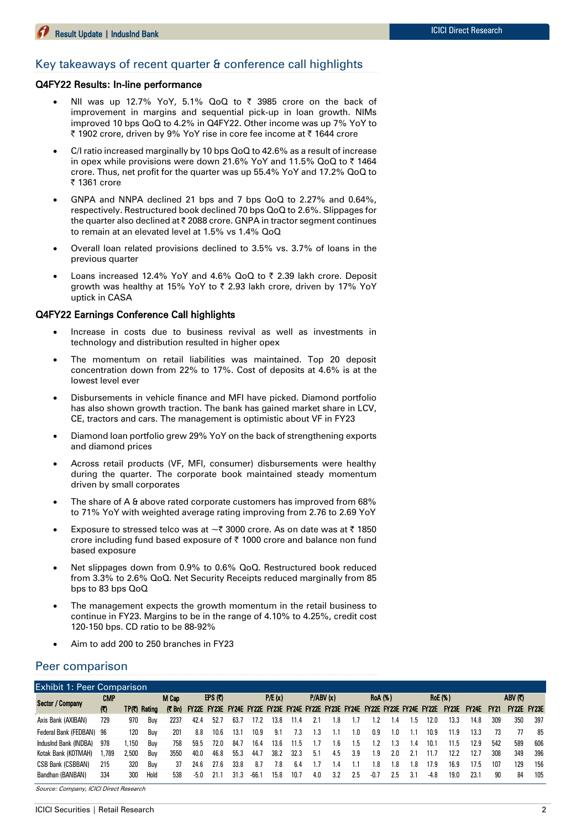#### Key takeaways of recent quarter & conference call highlights

#### Q4FY22 Results: In-line performance

- NII was up 12.7% YoY, 5.1% QoQ to  $\bar{\tau}$  3985 crore on the back of improvement in margins and sequential pick-up in loan growth. NIMs improved 10 bps QoQ to 4.2% in Q4FY22. Other income was up 7% YoY to ₹ 1902 crore, driven by 9% YoY rise in core fee income at ₹ 1644 crore
- C/I ratio increased marginally by 10 bps QoQ to 42.6% as a result of increase in opex while provisions were down 21.6% YoY and 11.5% QoQ to  $\bar{\tau}$  1464 crore. Thus, net profit for the quarter was up 55.4% YoY and 17.2% QoQ to ₹ 1361 crore
- GNPA and NNPA declined 21 bps and 7 bps QoQ to 2.27% and 0.64%, respectively. Restructured book declined 70 bps QoQ to 2.6%. Slippages for the quarter also declined at  $\bar{\tau}$  2088 crore. GNPA in tractor segment continues to remain at an elevated level at 1.5% vs 1.4% QoQ
- Overall loan related provisions declined to 3.5% vs. 3.7% of loans in the previous quarter
- Loans increased 12.4% YoY and 4.6% QoQ to  $\bar{\tau}$  2.39 lakh crore. Deposit growth was healthy at 15% YoY to ₹ 2.93 lakh crore, driven by 17% YoY uptick in CASA

#### Q4FY22 Earnings Conference Call highlights

- Increase in costs due to business revival as well as investments in technology and distribution resulted in higher opex
- The momentum on retail liabilities was maintained. Top 20 deposit concentration down from 22% to 17%. Cost of deposits at 4.6% is at the lowest level ever
- Disbursements in vehicle finance and MFI have picked. Diamond portfolio has also shown growth traction. The bank has gained market share in LCV, CE, tractors and cars. The management is optimistic about VF in FY23
- Diamond loan portfolio grew 29% YoY on the back of strengthening exports and diamond prices
- Across retail products (VF, MFI, consumer) disbursements were healthy during the quarter. The corporate book maintained steady momentum driven by small corporates
- The share of A & above rated corporate customers has improved from 68% to 71% YoY with weighted average rating improving from 2.76 to 2.69 YoY
- Exposure to stressed telco was at  $\sim$  3000 crore. As on date was at  $\bar{\tau}$  1850 crore including fund based exposure of ₹ 1000 crore and balance non fund based exposure
- Net slippages down from 0.9% to 0.6% QoQ. Restructured book reduced from 3.3% to 2.6% QoQ. Net Security Receipts reduced marginally from 85 bps to 83 bps QoQ
- The management expects the growth momentum in the retail business to continue in FY23. Margins to be in the range of 4.10% to 4.25%, credit cost 120-150 bps. CD ratio to be 88-92%
- Aim to add 200 to 250 branches in FY23

#### Peer comparison

|                       | <b>Exhibit 1: Peer Comparison</b> |       |              |       |        |         |      |      |        |      |     |          |     |        |                |         |                                                                               |              |              |             |         |                    |
|-----------------------|-----------------------------------|-------|--------------|-------|--------|---------|------|------|--------|------|-----|----------|-----|--------|----------------|---------|-------------------------------------------------------------------------------|--------------|--------------|-------------|---------|--------------------|
| Sector / Company      | CMP                               |       |              | M Cap |        | EPS (T) |      |      | P/E(x) |      |     | P/ABV(x) |     |        | <b>RoA</b> (%) |         | <b>RoE</b> (%)                                                                |              |              |             | ABV (₹) |                    |
|                       | $\mathbb{C}$                      |       | TP(C) Rating | (7Bn) |        |         |      |      |        |      |     |          |     |        |                |         | FY22E FY23E FY24E FY22E FY23E FY24E FY22E FY23E FY24E FY22E FY23E FY24E FY22E | <b>FY23E</b> | <b>FY24E</b> | <b>FY21</b> |         | <b>FY22E FY23E</b> |
| Axis Bank (AXIBAN)    | 729                               | 970   | Buv          | 2237  | 42.4   | 52.7    | 63.7 | 17.2 | 13.8   | 11.4 |     | .8       |     |        | 1.4            | l.5     | 12.0                                                                          | 13.3         | 14.8         | 309         | 350     | 397                |
| Federal Bank (FEDBAN) | 96                                | 120   | Buv          | 201   | 8.8    | 10.6    | 13.1 | 10.9 | 9.1    | 7.3  | 1.3 |          | .0  | 0.9    | 1.0            |         | 10.9                                                                          | 11.9         | 13.3         | 73          | 77      | 85                 |
| IndusInd Bank (INDBA) | 978                               | .150  | Buv          | 758   | 59.5   | 72.0    | 84.7 | 16.4 | 13.6   | 11.5 |     | .6       | .h  | - 2    |                | $\cdot$ | 10.1                                                                          | 11.5         | 12.9         | 542         | 589     | 606                |
| Kotak Bank (KOTMAH)   | .789                              | 2,500 | Buv          | 3550  | 40.0   | 46.8    | 55.3 | 44.7 | 38.2   | 32.3 | 5.1 | 4.5      | 3.9 | .9     | 2.0            | 21      |                                                                               | 12.2         | 12.7         | 308         | 349     | 396                |
| CSB Bank (CSBBAN)     | 215                               | 320   | Buv          | 37    | 24.6   | 77.6    | 33.8 | 8.7  | 7.8    | 6.4  | 17  | $\cdot$  |     | .8     | 1.8            | .8      | 17.9                                                                          | 16.9         | 17.5         | 107         | 129     | 156                |
| Bandhan (BANBAN)      | 334                               | 300   | Hold         | 538   | $-5.0$ | 21.1    | 31.3 | -66. | 15.8   | 10.7 | 4.0 | 3.2      | 2.5 | $-0.7$ | 2.5            | 3.1     | $-4.8$                                                                        | 19.0         | 23.7         | 90          | 84      | 105                |

Source: Company, ICICI Direct Research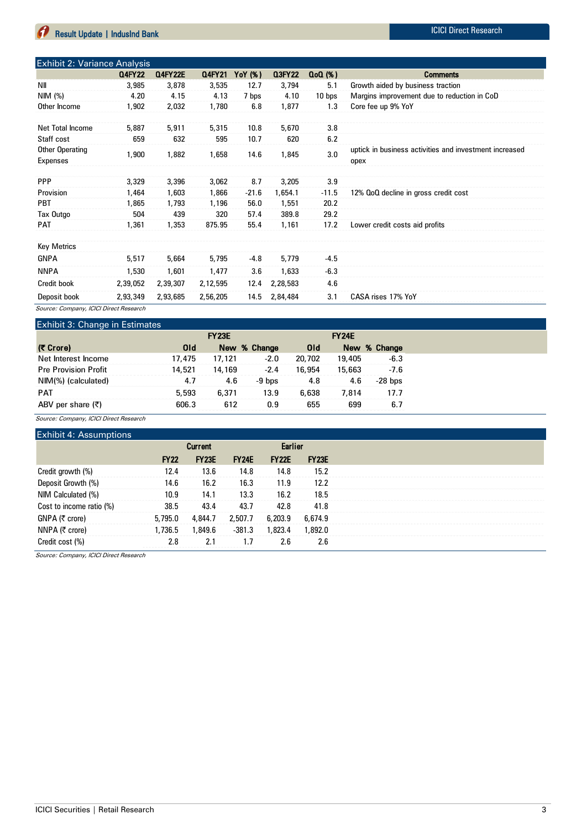| Exhibit 2: Variance Analysis           |               |                |          |         |               |          |                                                        |
|----------------------------------------|---------------|----------------|----------|---------|---------------|----------|--------------------------------------------------------|
|                                        | <b>Q4FY22</b> | <b>Q4FY22E</b> | Q4FY21   | YoY (%) | <b>Q3FY22</b> | $Q0(\%)$ | <b>Comments</b>                                        |
| <b>NII</b>                             | 3,985         | 3,878          | 3,535    | 12.7    | 3,794         | 5.1      | Growth aided by business traction                      |
| NIM $(%)$                              | 4.20          | 4.15           | 4.13     | 7 bps   | 4.10          | 10 bps   | Margins improvement due to reduction in CoD            |
| Other Income                           | 1,902         | 2,032          | 1,780    | 6.8     | 1,877         | 1.3      | Core fee up 9% YoY                                     |
|                                        |               |                |          |         |               |          |                                                        |
| Net Total Income                       | 5,887         | 5,911          | 5,315    | 10.8    | 5,670         | 3.8      |                                                        |
| Staff cost                             | 659           | 632            | 595      | 10.7    | 620           | 6.2      |                                                        |
| Other Operating                        | 1,900         | 1,882          | 1,658    | 14.6    | 1,845         | 3.0      | uptick in business activities and investment increased |
| Expenses                               |               |                |          |         |               |          | opex                                                   |
|                                        |               |                |          |         |               |          |                                                        |
| <b>PPP</b>                             | 3,329         | 3,396          | 3,062    | 8.7     | 3,205         | 3.9      |                                                        |
| Provision                              | 1,464         | 1,603          | 1,866    | $-21.6$ | 1,654.1       | $-11.5$  | 12% QoQ decline in gross credit cost                   |
| <b>PBT</b>                             | 1,865         | 1,793          | 1,196    | 56.0    | 1,551         | 20.2     |                                                        |
| Tax Outgo                              | 504           | 439            | 320      | 57.4    | 389.8         | 29.2     |                                                        |
| PAT                                    | 1,361         | 1,353          | 875.95   | 55.4    | 1,161         | 17.2     | Lower credit costs aid profits                         |
|                                        |               |                |          |         |               |          |                                                        |
| <b>Key Metrics</b>                     |               |                |          |         |               |          |                                                        |
| <b>GNPA</b>                            | 5,517         | 5,664          | 5,795    | -4.8    | 5,779         | $-4.5$   |                                                        |
| <b>NNPA</b>                            | 1,530         | 1,601          | 1,477    | 3.6     | 1,633         | $-6.3$   |                                                        |
| Credit book                            | 2,39,052      | 2,39,307       | 2,12,595 | 12.4    | 2,28,583      | 4.6      |                                                        |
| Deposit book                           | 2,93,349      | 2,93,685       | 2,56,205 | 14.5    | 2,84,484      | 3.1      | CASA rises 17% YoY                                     |
| Source: Company, ICICI Direct Research |               |                |          |         |               |          |                                                        |

#### Exhibit 3: Change in Estimates

| EXHIDIt 0. OHango III Estimatos |            | <b>FY23E</b> |              |            | <b>FY24E</b> |              |
|---------------------------------|------------|--------------|--------------|------------|--------------|--------------|
| (そ Crore)                       | <b>Old</b> |              | New % Change | <b>Old</b> |              | New % Change |
| Net Interest Income             | 17,475     | 17,121       | $-2.0$       | 20,702     | 19,405       | $-6.3$       |
| <b>Pre Provision Profit</b>     | 14,521     | 14,169       | $-2.4$       | 16,954     | 15,663       | $-7.6$       |
| NIM(%) (calculated)             | 4.7        | 4.6          | $-9$ bps     | 4.8        | 4.6          | $-28$ bps    |
| <b>PAT</b>                      | 5,593      | 6.371        | 13.9         | 6,638      | 7.814        | 17.7         |
| ABV per share (₹)               | 606.3      | 612          | 0.9          | 655        | 699          | 6.7          |

Source: Company, ICICI Direct Research

#### Exhibit 4: Assumptions

|             | <b>Current</b> |              |              | <b>Earlier</b> |  |
|-------------|----------------|--------------|--------------|----------------|--|
| <b>FY22</b> | <b>FY23E</b>   | <b>FY24E</b> | <b>FY22E</b> | <b>FY23E</b>   |  |
| 12.4        | 13.6           | 14.8         | 14.8         | 15.2           |  |
| 14.6        | 16.2           | 16.3         | 11.9         | 12.2           |  |
| 10.9        | 14.1           | 13.3         | 16.2         | 18.5           |  |
| 38.5        | 43.4           | 43.7         | 42.8         | 41.8           |  |
| 5,795.0     | 4,844.7        | 2,507.7      | 6,203.9      | 6,674.9        |  |
| 1.736.5     | 1,849.6        | $-381.3$     | 1.823.4      | 1,892.0        |  |
| 2.8         | 2.1            |              | 2.6          | 2.6            |  |
|             |                |              |              |                |  |

Source: Company, ICICI Direct Research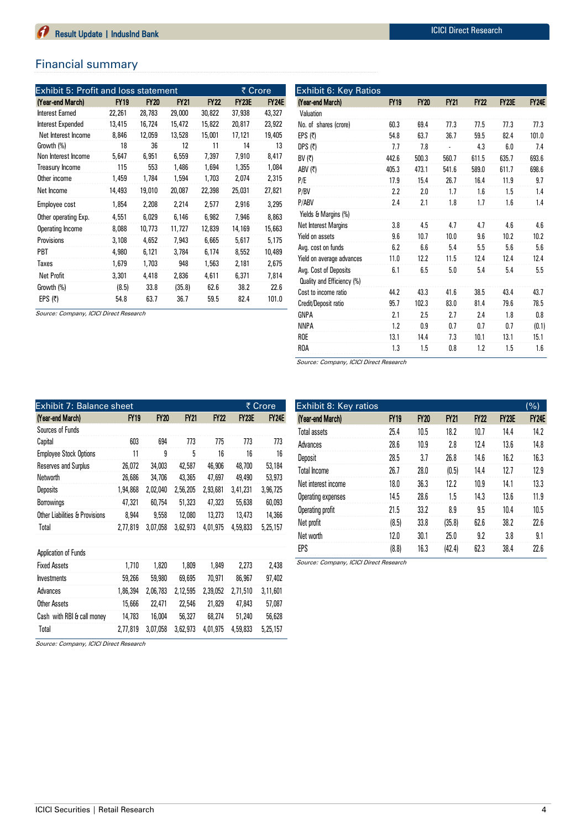## Financial summary

| Exhibit 5: Profit and loss statement |             |             |             |             | ₹ Crore      |              |  |
|--------------------------------------|-------------|-------------|-------------|-------------|--------------|--------------|--|
| (Year-end March)                     | <b>FY19</b> | <b>FY20</b> | <b>FY21</b> | <b>FY22</b> | <b>FY23E</b> | <b>FY24E</b> |  |
| Interest Earned                      | 22,261      | 28,783      | 29,000      | 30,822      | 37,938       | 43,327       |  |
| Interest Expended                    | 13,415      | 16,724      | 15,472      | 15,822      | 20,817       | 23,922       |  |
| Net Interest Income                  | 8,846       | 12,059      | 13,528      | 15,001      | 17,121       | 19,405       |  |
| Growth (%)                           | 18          | 36          | 12          | 11          | 14           | 13           |  |
| Non Interest Income                  | 5,647       | 6,951       | 6,559       | 7,397       | 7,910        | 8,417        |  |
| <b>Treasury Income</b>               | 115         | 553         | 1,486       | 1,694       | 1,355        | 1,084        |  |
| Other income                         | 1,459       | 1,784       | 1,594       | 1,703       | 2,074        | 2,315        |  |
| Net Income                           | 14,493      | 19,010      | 20,087      | 22,398      | 25,031       | 27,821       |  |
| Employee cost                        | 1,854       | 2,208       | 2,214       | 2,577       | 2,916        | 3,295        |  |
| Other operating Exp.                 | 4,551       | 6,029       | 6,146       | 6,982       | 7,946        | 8,863        |  |
| Operating Income                     | 8,088       | 10,773      | 11,727      | 12,839      | 14,169       | 15,663       |  |
| <b>Provisions</b>                    | 3,108       | 4,652       | 7,943       | 6,665       | 5,617        | 5,175        |  |
| PBT                                  | 4,980       | 6,121       | 3.784       | 6,174       | 8,552        | 10,489       |  |
| Taxes                                | 1,679       | 1,703       | 948         | 1,563       | 2,181        | 2,675        |  |
| <b>Net Profit</b>                    | 3,301       | 4,418       | 2,836       | 4.611       | 6,371        | 7,814        |  |
| Growth (%)                           | (8.5)       | 33.8        | (35.8)      | 62.6        | 38.2         | 22.6         |  |
| EPS $(5)$                            | 54.8        | 63.7        | 36.7        | 59.5        | 82.4         | 101.0        |  |

Source: Company, ICICI Direct Research

| (Year-end March)           | <b>FY19</b> | <b>FY20</b> | <b>FY21</b> | FY22  | <b>FY23E</b> | <b>FY24E</b> |
|----------------------------|-------------|-------------|-------------|-------|--------------|--------------|
| Valuation                  |             |             |             |       |              |              |
| No. of shares (crore)      | 60.3        | 69.4        | 77.3        | 77.5  | 77.3         | 77.3         |
| EPS $(5)$                  | 54.8        | 63.7        | 36.7        | 59.5  | 82.4         | 101.0        |
| DPS $(5)$                  | 7.7         | 7.8         |             | 4.3   | 6.0          | 7.4          |
| BV $(\bar{\tau})$          | 442.6       | 500.3       | 560.7       | 611.5 | 635.7        | 693.6        |
| ABV (₹)                    | 405.3       | 473.1       | 541.6       | 589.0 | 611.7        | 698.6        |
| P/E                        | 17.9        | 15.4        | 26.7        | 16.4  | 11.9         | 9.7          |
| P/BV                       | 2.2         | 2.0         | 1.7         | 1.6   | 1.5          | 1.4          |
| P/ABV                      | 2.4         | 2.1         | 1.8         | 1.7   | 1.6          | 1.4          |
| Yields & Margins (%)       |             |             |             |       |              |              |
| Net Interest Margins       | 3.8         | 4.5         | 4.7         | 4.7   | 4.6          | 4.6          |
| Yield on assets            | 9.6         | 10.7        | 10.0        | 9.6   | 10.2         | 10.2         |
| Avg. cost on funds         | 6.2         | 6.6         | 5.4         | 5.5   | 5.6          | 5.6          |
| Yield on average advances  | 11.0        | 12.2        | 11.5        | 12.4  | 12.4         | 12.4         |
| Avg. Cost of Deposits      | 6.1         | 6.5         | 5.0         | 5.4   | 5.4          | 5.5          |
| Quality and Efficiency (%) |             |             |             |       |              |              |
| Cost to income ratio       | 44.2        | 43.3        | 41.6        | 38.5  | 43.4         | 43.7         |
| Credit/Deposit ratio       | 95.7        | 102.3       | 83.0        | 81.4  | 79.6         | 78.5         |
| GNPA                       | 2.1         | 2.5         | 2.7         | 7.4   | 1.8          | 0.8          |
| <b>NNPA</b>                | 1.2         | 0.9         | 0.7         | 0.7   | 0.7          | (0.1)        |
| <b>ROE</b>                 | 13.1        | 14.4        | 7.3         | 10.1  | 13.1         | 15.1         |
| ROA                        | 1.3         | 1.5         | 0.8         | 1.2   | 1.5          | 1.6          |

Source: Company, ICICI Direct Research

| Exhibit 7: Balance sheet       |             |             |             |             |              | ₹ Crore      |
|--------------------------------|-------------|-------------|-------------|-------------|--------------|--------------|
| (Year-end March)               | <b>FY19</b> | <b>FY20</b> | <b>FY21</b> | <b>FY22</b> | <b>FY23E</b> | <b>FY24E</b> |
| Sources of Funds               |             |             |             |             |              |              |
| Capital                        | 603         | 694         | 773         | 775         | 773          | 773          |
| <b>Employee Stock Options</b>  | 11          | 9           | 5           | 16          | 16           | 16           |
| Reserves and Surplus           | 26,072      | 34,003      | 42,587      | 46,906      | 48,700       | 53,184       |
| Networth                       | 26,686      | 34,706      | 43,365      | 47,697      | 49,490       | 53,973       |
| Deposits                       | 1,94,868    | 2,02,040    | 2,56,205    | 2,93,681    | 3,41,231     | 3,96,725     |
| <b>Borrowings</b>              | 47,321      | 60,754      | 51,323      | 47,323      | 55,638       | 60,093       |
| Other Liabilities & Provisions | 8,944       | 9,558       | 12,080      | 13,273      | 13,473       | 14,366       |
| Total                          | 2,77,819    | 3,07,058    | 3,62,973    | 4,01,975    | 4,59,833     | 5,25,157     |
|                                |             |             |             |             |              |              |
| Application of Funds           |             |             |             |             |              |              |
| <b>Fixed Assets</b>            | 1,710       | 1,820       | 1,809       | 1,849       | 2,273        | 2,438        |
| <b>Investments</b>             | 59,266      | 59,980      | 69,695      | 70,971      | 86,967       | 97,402       |
| Advances                       | 1,86,394    | 2,06,783    | 2,12,595    | 2,39,052    | 2,71,510     | 3,11,601     |
| Other Assets                   | 15,666      | 22,471      | 22,546      | 21,829      | 47,843       | 57,087       |
| Cash with RBI & call money     | 14,783      | 16,004      | 56,327      | 68,274      | 51,240       | 56,628       |
| Total                          | 2,77,819    | 3,07,058    | 3,62,973    | 4,01,975    | 4,59,833     | 5,25,157     |

| Exhibit 8: Key ratios |             |             |             |             |              | $(\%)$       |
|-----------------------|-------------|-------------|-------------|-------------|--------------|--------------|
| (Year-end March)      | <b>FY19</b> | <b>FY20</b> | <b>FY21</b> | <b>FY22</b> | <b>FY23E</b> | <b>FY24E</b> |
| <b>Total assets</b>   | 25.4        | 10.5        | 18.2        | 10.7        | 14.4         | 14.2         |
| Advances              | 28.6        | 10.9        | 2.8         | 12.4        | 13.6         | 14.8         |
| Deposit               | 28.5        | 3.7         | 76.8        | 14.6        | 16.2         | 16.3         |
| <b>Total Income</b>   | 26.7        | 28.0        | (0.5)       | 14.4        | 12.7         | 12.9         |
| Net interest income   | 18.0        | 36.3        | 12.2        | 10.9        | 14.1         | 13.3         |
| Operating expenses    | 14.5        | 28.6        | 1.5         | 14.3        | 13.6         | 11.9         |
| Operating profit      | 21.5        | 33.2        | 8.9         | 9.5         | 10.4         | 10.5         |
| Net profit            | (8.5)       | 33.8        | (35.8)      | 62.6        | 38.2         | 22.6         |
| Net worth             | 12.0        | 30.1        | 25.0        | 9.2         | 3.8          | 9.1          |
| <b>FPS</b>            | (8.8)       | 16.3        | (42.4)      | 62.3        | 38.4         | 22.6         |

Source: Company, ICICI Direct Research

Source: Company, ICICI Direct Research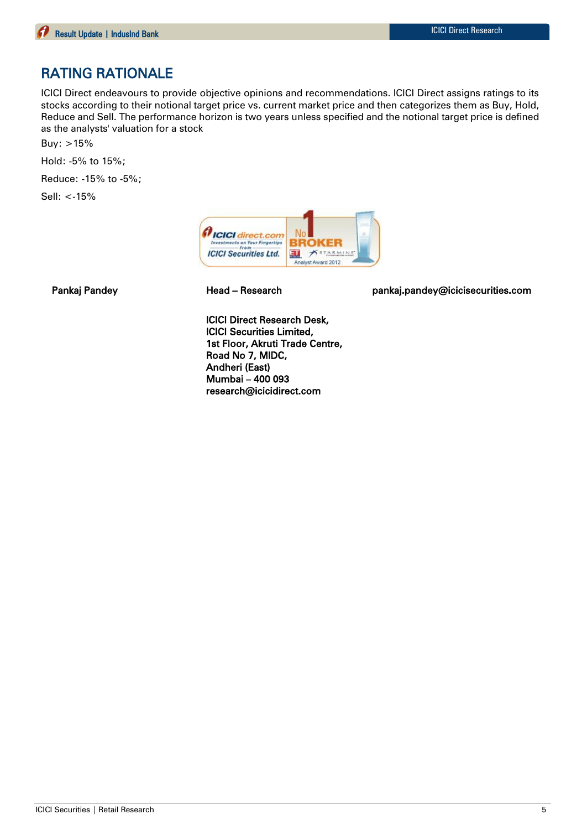## RATING RATIONALE

ICICI Direct endeavours to provide objective opinions and recommendations. ICICI Direct assigns ratings to its stocks according to their notional target price vs. current market price and then categorizes them as Buy, Hold, Reduce and Sell. The performance horizon is two years unless specified and the notional target price is defined as the analysts' valuation for a stock

Buy: >15%

Hold: -5% to 15%;

Reduce: -15% to -5%;

Sell: <-15%



Pankaj Pandey Head – Research pankaj.pandey@icicisecurities.com

ICICI Direct Research Desk, ICICI Securities Limited, 1st Floor, Akruti Trade Centre, Road No 7, MIDC, Andheri (East) Mumbai – 400 093 research@icicidirect.com